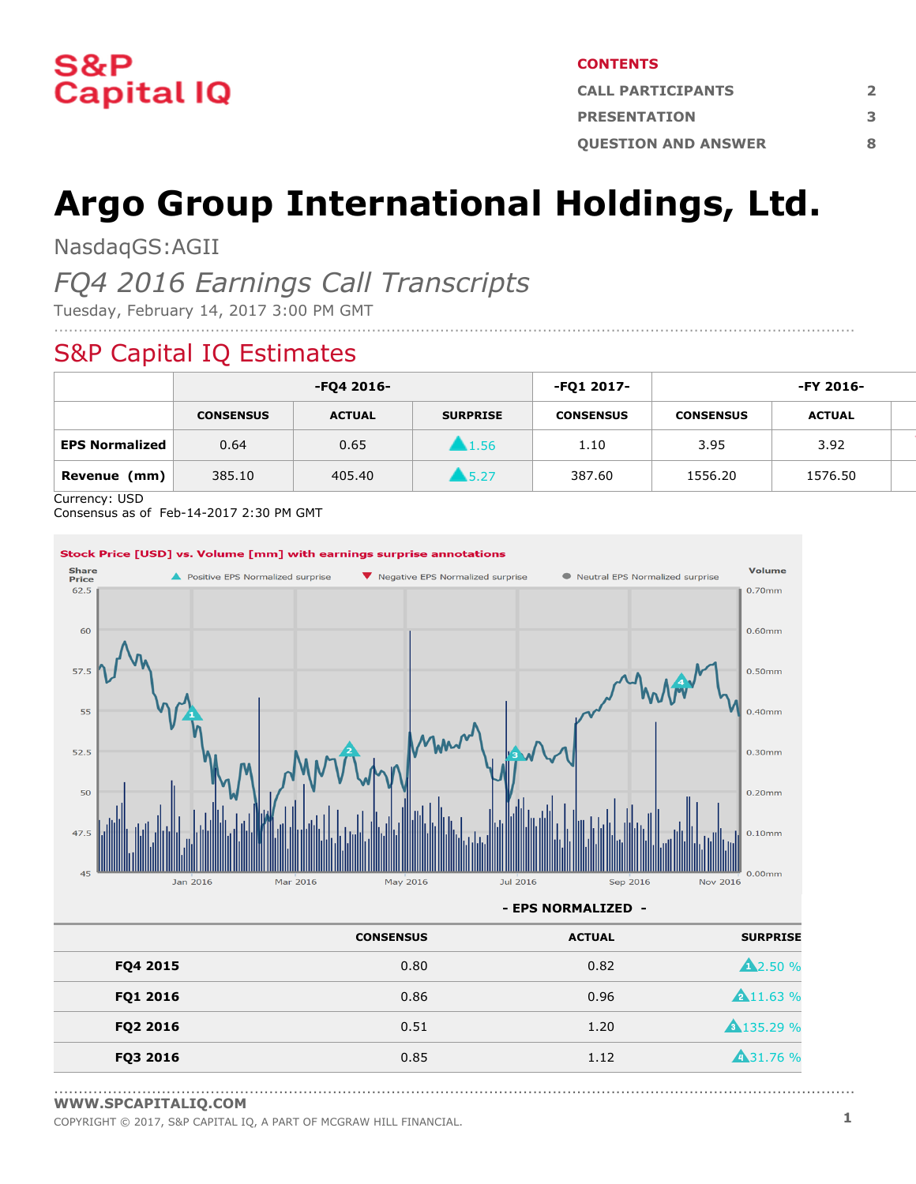

#### **CONTENTS**

| <b>CALL PARTICIPANTS</b>   |   |
|----------------------------|---|
| <b>PRESENTATION</b>        |   |
| <b>OUESTION AND ANSWER</b> | Ջ |

# **Argo Group International Holdings, Ltd.**

....................................................................................................................................................................

NasdaqGS:AGII

# *FQ4 2016 Earnings Call Transcripts*

Tuesday, February 14, 2017 3:00 PM GMT

# S&P Capital IQ Estimates

|                       | -FQ4 2016-       |               |                     | -FQ1 2017-       | -FY 2016-        |               |  |
|-----------------------|------------------|---------------|---------------------|------------------|------------------|---------------|--|
|                       | <b>CONSENSUS</b> | <b>ACTUAL</b> | <b>SURPRISE</b>     | <b>CONSENSUS</b> | <b>CONSENSUS</b> | <b>ACTUAL</b> |  |
| <b>EPS Normalized</b> | 0.64             | 0.65          | 1.56                | 1.10             | 3.95             | 3.92          |  |
| Revenue<br>(mm)       | 385.10           | 405.40        | $\blacksquare$ 5.27 | 387.60           | 1556.20          | 1576.50       |  |

Currency: USD

Consensus as of Feb-14-2017 2:30 PM GMT



**- EPS NORMALIZED -**

|          | <b>CONSENSUS</b> | <b>ACTUAL</b> | <b>SURPRISE</b>   |
|----------|------------------|---------------|-------------------|
| FQ4 2015 | 0.80             | 0.82          | <b>A2.50 %</b>    |
| FQ1 2016 | 0.86             | 0.96          | <b>A</b> 11.63 %  |
| FQ2 2016 | 0.51             | 1.20          | <b>A</b> 135.29 % |
| FQ3 2016 | 0.85             | 1.12          | <b>431.76 %</b>   |

<sup>....................................................................................................................................................................</sup> **[WWW.SPCAPITALIQ.COM](https://www.capitaliq.com/home.aspx)**

COPYRIGHT © 2017, S&P CAPITAL IQ, <sup>A</sup> PART OF MCGRAW HILL FINANCIAL. **1**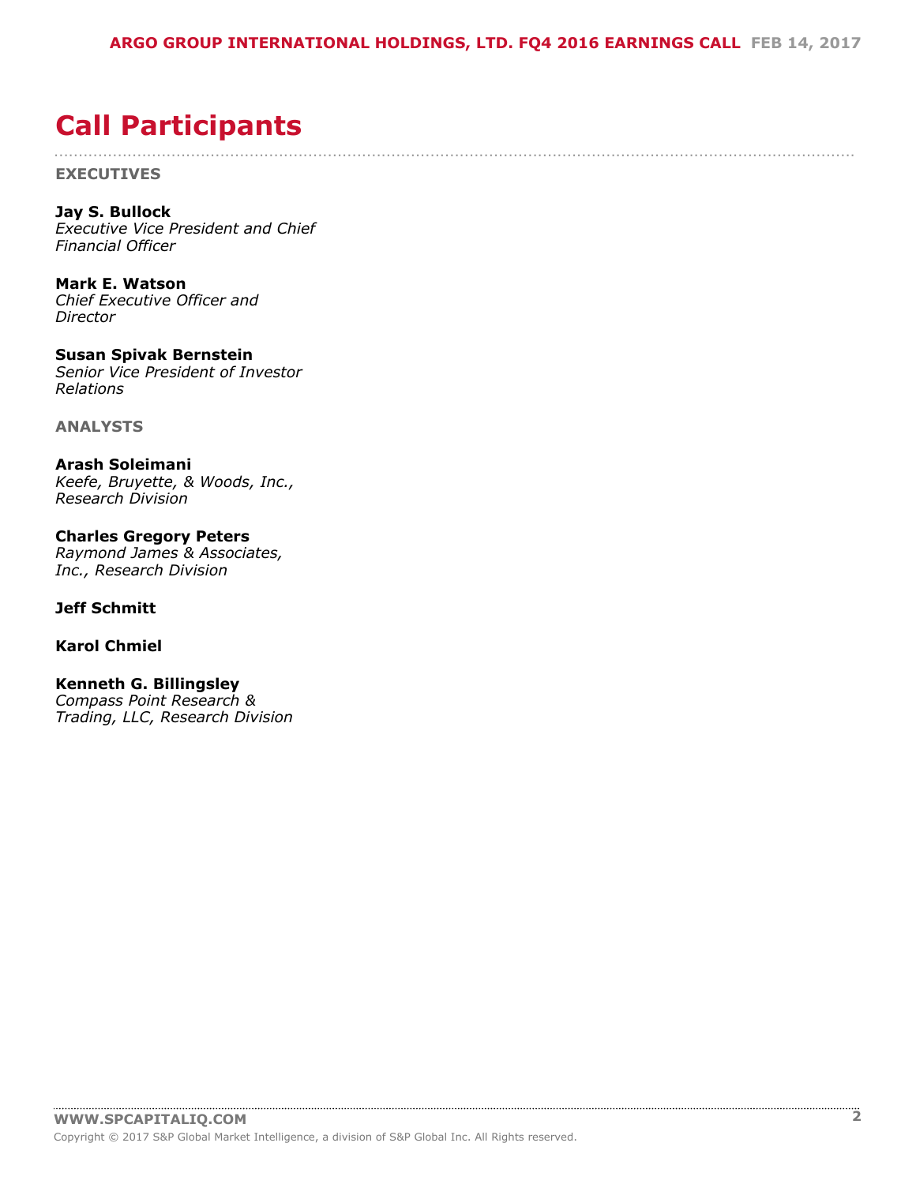....................................................................................................................................................................

# <span id="page-1-0"></span>**Call Participants**

**EXECUTIVES**

**Jay S. Bullock** *Executive Vice President and Chief Financial Officer*

**Mark E. Watson** *Chief Executive Officer and Director*

**Susan Spivak Bernstein** *Senior Vice President of Investor Relations*

**ANALYSTS**

**Arash Soleimani** *Keefe, Bruyette, & Woods, Inc., Research Division*

**Charles Gregory Peters** *Raymond James & Associates, Inc., Research Division*

# **Jeff Schmitt**

# **Karol Chmiel**

# **Kenneth G. Billingsley**

*Compass Point Research & Trading, LLC, Research Division*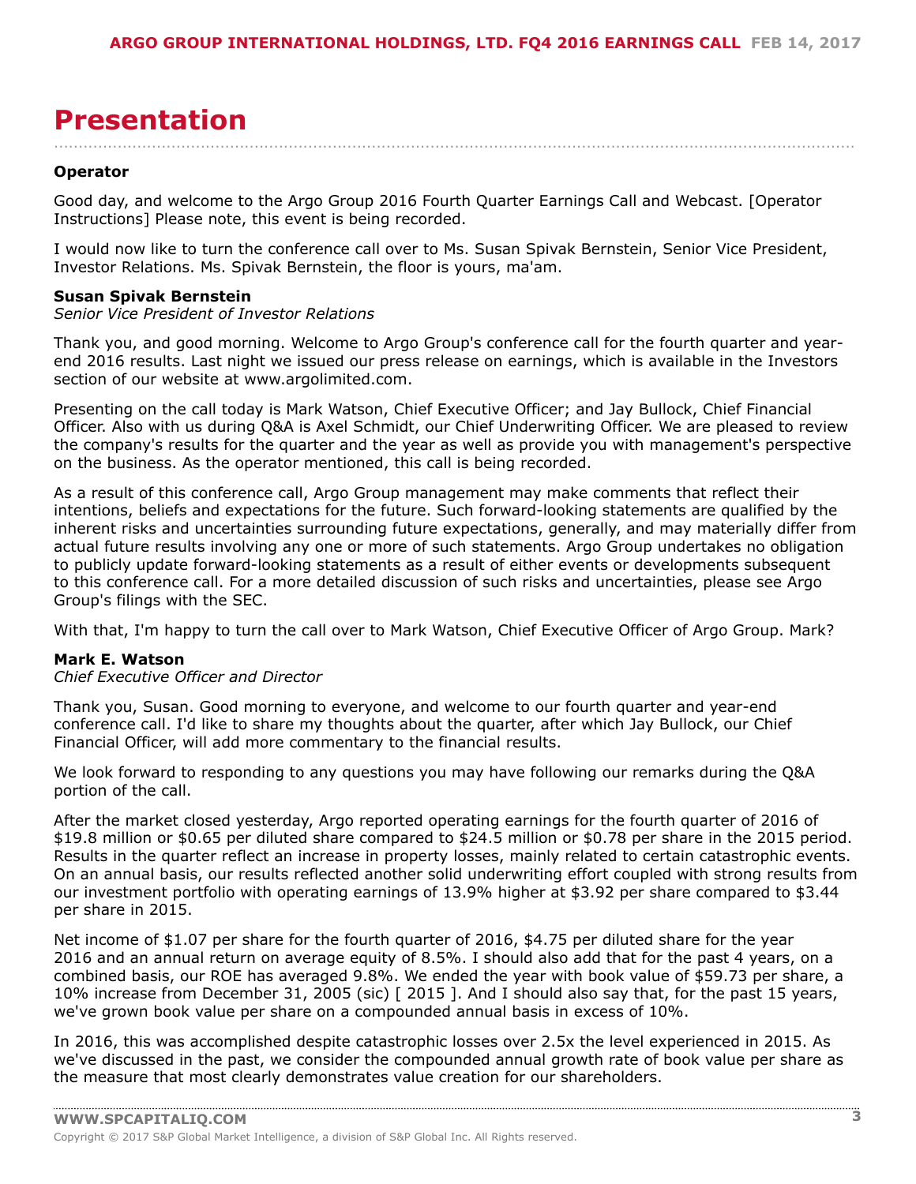# <span id="page-2-0"></span>**Presentation**

#### **Operator**

Good day, and welcome to the Argo Group 2016 Fourth Quarter Earnings Call and Webcast. [Operator Instructions] Please note, this event is being recorded.

....................................................................................................................................................................

I would now like to turn the conference call over to Ms. Susan Spivak Bernstein, Senior Vice President, Investor Relations. Ms. Spivak Bernstein, the floor is yours, ma'am.

#### **Susan Spivak Bernstein**

# *Senior Vice President of Investor Relations*

Thank you, and good morning. Welcome to Argo Group's conference call for the fourth quarter and yearend 2016 results. Last night we issued our press release on earnings, which is available in the Investors section of our website at www.argolimited.com.

Presenting on the call today is Mark Watson, Chief Executive Officer; and Jay Bullock, Chief Financial Officer. Also with us during Q&A is Axel Schmidt, our Chief Underwriting Officer. We are pleased to review the company's results for the quarter and the year as well as provide you with management's perspective on the business. As the operator mentioned, this call is being recorded.

As a result of this conference call, Argo Group management may make comments that reflect their intentions, beliefs and expectations for the future. Such forward-looking statements are qualified by the inherent risks and uncertainties surrounding future expectations, generally, and may materially differ from actual future results involving any one or more of such statements. Argo Group undertakes no obligation to publicly update forward-looking statements as a result of either events or developments subsequent to this conference call. For a more detailed discussion of such risks and uncertainties, please see Argo Group's filings with the SEC.

With that, I'm happy to turn the call over to Mark Watson, Chief Executive Officer of Argo Group. Mark?

# **Mark E. Watson**

#### *Chief Executive Officer and Director*

Thank you, Susan. Good morning to everyone, and welcome to our fourth quarter and year-end conference call. I'd like to share my thoughts about the quarter, after which Jay Bullock, our Chief Financial Officer, will add more commentary to the financial results.

We look forward to responding to any questions you may have following our remarks during the Q&A portion of the call.

After the market closed yesterday, Argo reported operating earnings for the fourth quarter of 2016 of \$19.8 million or \$0.65 per diluted share compared to \$24.5 million or \$0.78 per share in the 2015 period. Results in the quarter reflect an increase in property losses, mainly related to certain catastrophic events. On an annual basis, our results reflected another solid underwriting effort coupled with strong results from our investment portfolio with operating earnings of 13.9% higher at \$3.92 per share compared to \$3.44 per share in 2015.

Net income of \$1.07 per share for the fourth quarter of 2016, \$4.75 per diluted share for the year 2016 and an annual return on average equity of 8.5%. I should also add that for the past 4 years, on a combined basis, our ROE has averaged 9.8%. We ended the year with book value of \$59.73 per share, a 10% increase from December 31, 2005 (sic) [ 2015 ]. And I should also say that, for the past 15 years, we've grown book value per share on a compounded annual basis in excess of 10%.

In 2016, this was accomplished despite catastrophic losses over 2.5x the level experienced in 2015. As we've discussed in the past, we consider the compounded annual growth rate of book value per share as the measure that most clearly demonstrates value creation for our shareholders.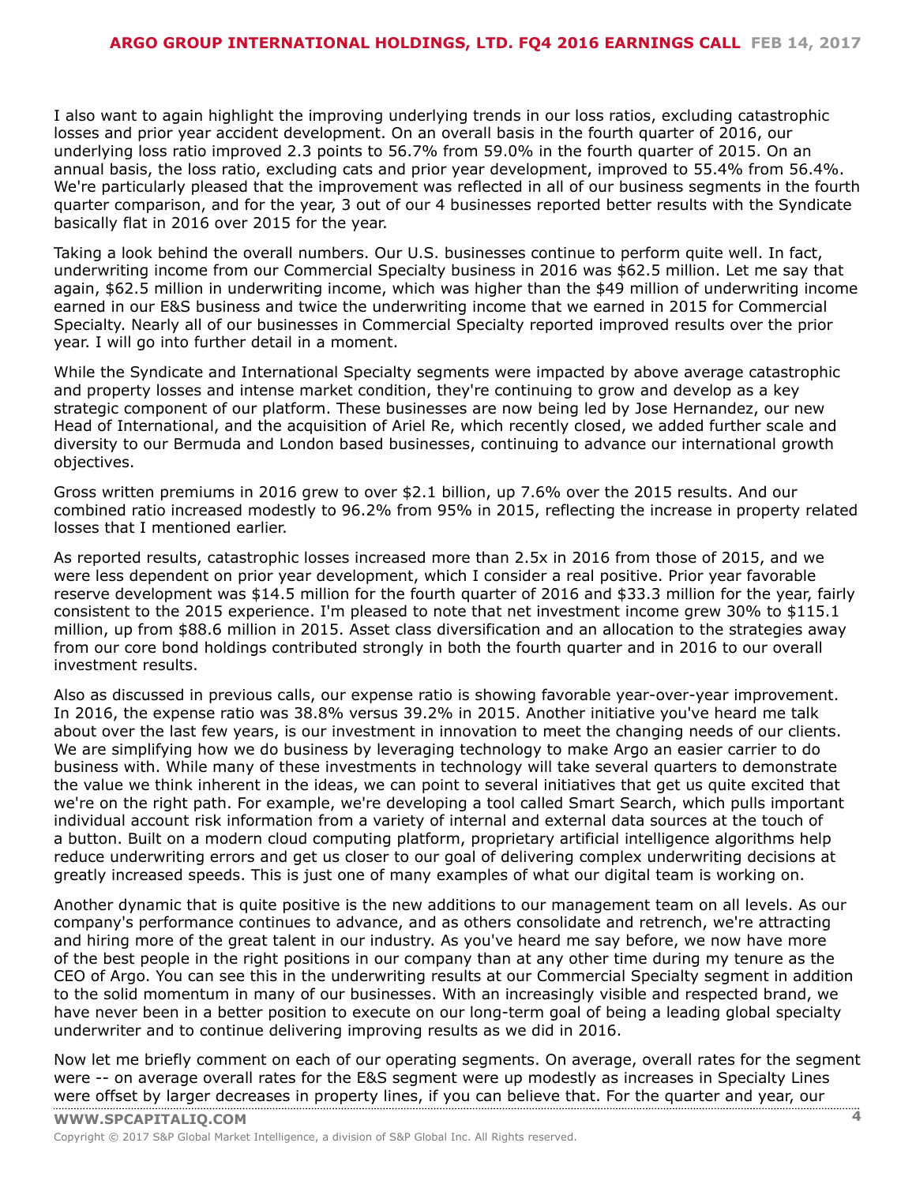I also want to again highlight the improving underlying trends in our loss ratios, excluding catastrophic losses and prior year accident development. On an overall basis in the fourth quarter of 2016, our underlying loss ratio improved 2.3 points to 56.7% from 59.0% in the fourth quarter of 2015. On an annual basis, the loss ratio, excluding cats and prior year development, improved to 55.4% from 56.4%. We're particularly pleased that the improvement was reflected in all of our business segments in the fourth quarter comparison, and for the year, 3 out of our 4 businesses reported better results with the Syndicate basically flat in 2016 over 2015 for the year.

Taking a look behind the overall numbers. Our U.S. businesses continue to perform quite well. In fact, underwriting income from our Commercial Specialty business in 2016 was \$62.5 million. Let me say that again, \$62.5 million in underwriting income, which was higher than the \$49 million of underwriting income earned in our E&S business and twice the underwriting income that we earned in 2015 for Commercial Specialty. Nearly all of our businesses in Commercial Specialty reported improved results over the prior year. I will go into further detail in a moment.

While the Syndicate and International Specialty segments were impacted by above average catastrophic and property losses and intense market condition, they're continuing to grow and develop as a key strategic component of our platform. These businesses are now being led by Jose Hernandez, our new Head of International, and the acquisition of Ariel Re, which recently closed, we added further scale and diversity to our Bermuda and London based businesses, continuing to advance our international growth objectives.

Gross written premiums in 2016 grew to over \$2.1 billion, up 7.6% over the 2015 results. And our combined ratio increased modestly to 96.2% from 95% in 2015, reflecting the increase in property related losses that I mentioned earlier.

As reported results, catastrophic losses increased more than 2.5x in 2016 from those of 2015, and we were less dependent on prior year development, which I consider a real positive. Prior year favorable reserve development was \$14.5 million for the fourth quarter of 2016 and \$33.3 million for the year, fairly consistent to the 2015 experience. I'm pleased to note that net investment income grew 30% to \$115.1 million, up from \$88.6 million in 2015. Asset class diversification and an allocation to the strategies away from our core bond holdings contributed strongly in both the fourth quarter and in 2016 to our overall investment results.

Also as discussed in previous calls, our expense ratio is showing favorable year-over-year improvement. In 2016, the expense ratio was 38.8% versus 39.2% in 2015. Another initiative you've heard me talk about over the last few years, is our investment in innovation to meet the changing needs of our clients. We are simplifying how we do business by leveraging technology to make Argo an easier carrier to do business with. While many of these investments in technology will take several quarters to demonstrate the value we think inherent in the ideas, we can point to several initiatives that get us quite excited that we're on the right path. For example, we're developing a tool called Smart Search, which pulls important individual account risk information from a variety of internal and external data sources at the touch of a button. Built on a modern cloud computing platform, proprietary artificial intelligence algorithms help reduce underwriting errors and get us closer to our goal of delivering complex underwriting decisions at greatly increased speeds. This is just one of many examples of what our digital team is working on.

Another dynamic that is quite positive is the new additions to our management team on all levels. As our company's performance continues to advance, and as others consolidate and retrench, we're attracting and hiring more of the great talent in our industry. As you've heard me say before, we now have more of the best people in the right positions in our company than at any other time during my tenure as the CEO of Argo. You can see this in the underwriting results at our Commercial Specialty segment in addition to the solid momentum in many of our businesses. With an increasingly visible and respected brand, we have never been in a better position to execute on our long-term goal of being a leading global specialty underwriter and to continue delivering improving results as we did in 2016.

Now let me briefly comment on each of our operating segments. On average, overall rates for the segment were -- on average overall rates for the E&S segment were up modestly as increases in Specialty Lines were offset by [larger](www.capitaliq.com) decreases in property lines, if you can believe that. For the quarter and year, our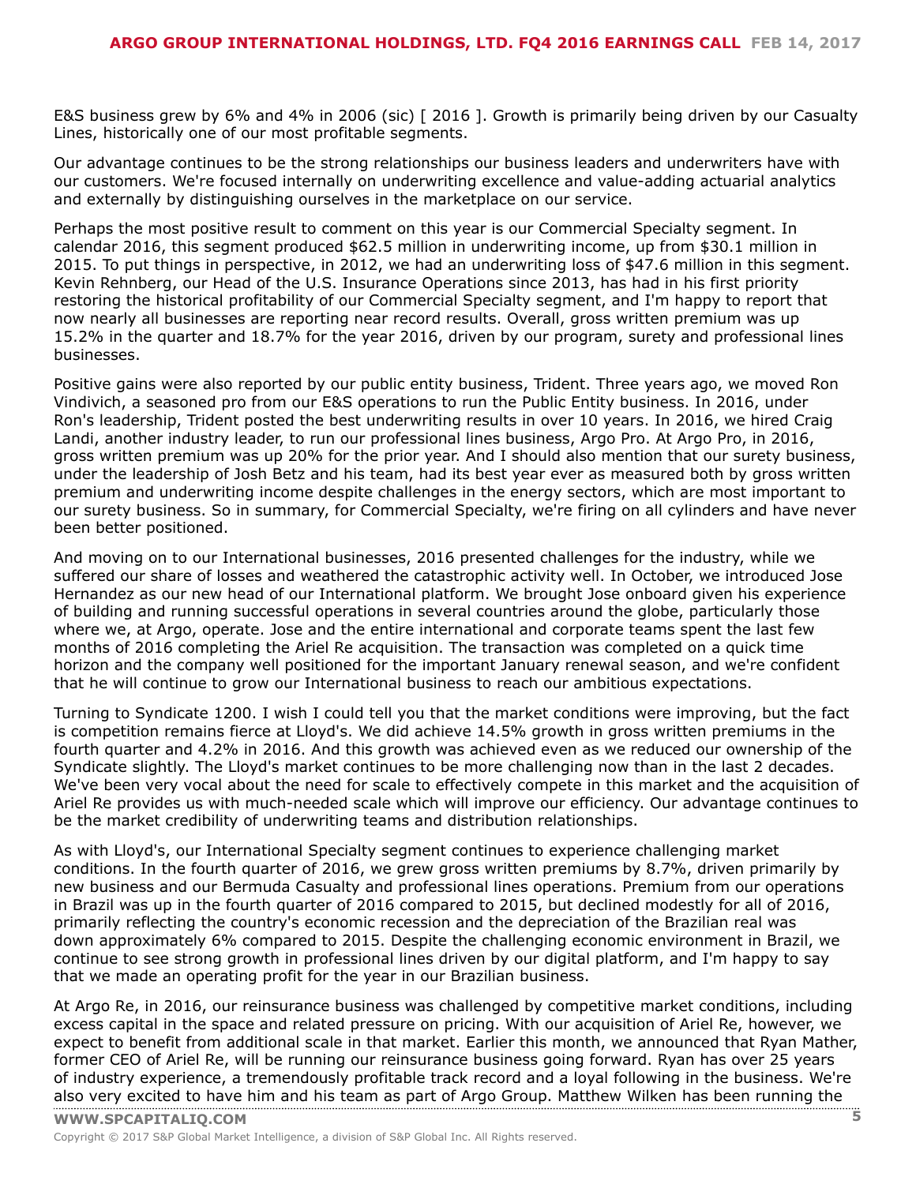E&S business grew by 6% and 4% in 2006 (sic) [ 2016 ]. Growth is primarily being driven by our Casualty Lines, historically one of our most profitable segments.

Our advantage continues to be the strong relationships our business leaders and underwriters have with our customers. We're focused internally on underwriting excellence and value-adding actuarial analytics and externally by distinguishing ourselves in the marketplace on our service.

Perhaps the most positive result to comment on this year is our Commercial Specialty segment. In calendar 2016, this segment produced \$62.5 million in underwriting income, up from \$30.1 million in 2015. To put things in perspective, in 2012, we had an underwriting loss of \$47.6 million in this segment. Kevin Rehnberg, our Head of the U.S. Insurance Operations since 2013, has had in his first priority restoring the historical profitability of our Commercial Specialty segment, and I'm happy to report that now nearly all businesses are reporting near record results. Overall, gross written premium was up 15.2% in the quarter and 18.7% for the year 2016, driven by our program, surety and professional lines businesses.

Positive gains were also reported by our public entity business, Trident. Three years ago, we moved Ron Vindivich, a seasoned pro from our E&S operations to run the Public Entity business. In 2016, under Ron's leadership, Trident posted the best underwriting results in over 10 years. In 2016, we hired Craig Landi, another industry leader, to run our professional lines business, Argo Pro. At Argo Pro, in 2016, gross written premium was up 20% for the prior year. And I should also mention that our surety business, under the leadership of Josh Betz and his team, had its best year ever as measured both by gross written premium and underwriting income despite challenges in the energy sectors, which are most important to our surety business. So in summary, for Commercial Specialty, we're firing on all cylinders and have never been better positioned.

And moving on to our International businesses, 2016 presented challenges for the industry, while we suffered our share of losses and weathered the catastrophic activity well. In October, we introduced Jose Hernandez as our new head of our International platform. We brought Jose onboard given his experience of building and running successful operations in several countries around the globe, particularly those where we, at Argo, operate. Jose and the entire international and corporate teams spent the last few months of 2016 completing the Ariel Re acquisition. The transaction was completed on a quick time horizon and the company well positioned for the important January renewal season, and we're confident that he will continue to grow our International business to reach our ambitious expectations.

Turning to Syndicate 1200. I wish I could tell you that the market conditions were improving, but the fact is competition remains fierce at Lloyd's. We did achieve 14.5% growth in gross written premiums in the fourth quarter and 4.2% in 2016. And this growth was achieved even as we reduced our ownership of the Syndicate slightly. The Lloyd's market continues to be more challenging now than in the last 2 decades. We've been very vocal about the need for scale to effectively compete in this market and the acquisition of Ariel Re provides us with much-needed scale which will improve our efficiency. Our advantage continues to be the market credibility of underwriting teams and distribution relationships.

As with Lloyd's, our International Specialty segment continues to experience challenging market conditions. In the fourth quarter of 2016, we grew gross written premiums by 8.7%, driven primarily by new business and our Bermuda Casualty and professional lines operations. Premium from our operations in Brazil was up in the fourth quarter of 2016 compared to 2015, but declined modestly for all of 2016, primarily reflecting the country's economic recession and the depreciation of the Brazilian real was down approximately 6% compared to 2015. Despite the challenging economic environment in Brazil, we continue to see strong growth in professional lines driven by our digital platform, and I'm happy to say that we made an operating profit for the year in our Brazilian business.

At Argo Re, in 2016, our reinsurance business was challenged by competitive market conditions, including excess capital in the space and related pressure on pricing. With our acquisition of Ariel Re, however, we expect to benefit from additional scale in that market. Earlier this month, we announced that Ryan Mather, former CEO of Ariel Re, will be running our reinsurance business going forward. Ryan has over 25 years of industry experience, a tremendously profitable track record and a loyal following in the business. We're also very [excited](www.capitaliq.com) to have him and his team as part of Argo Group. Matthew Wilken has been running the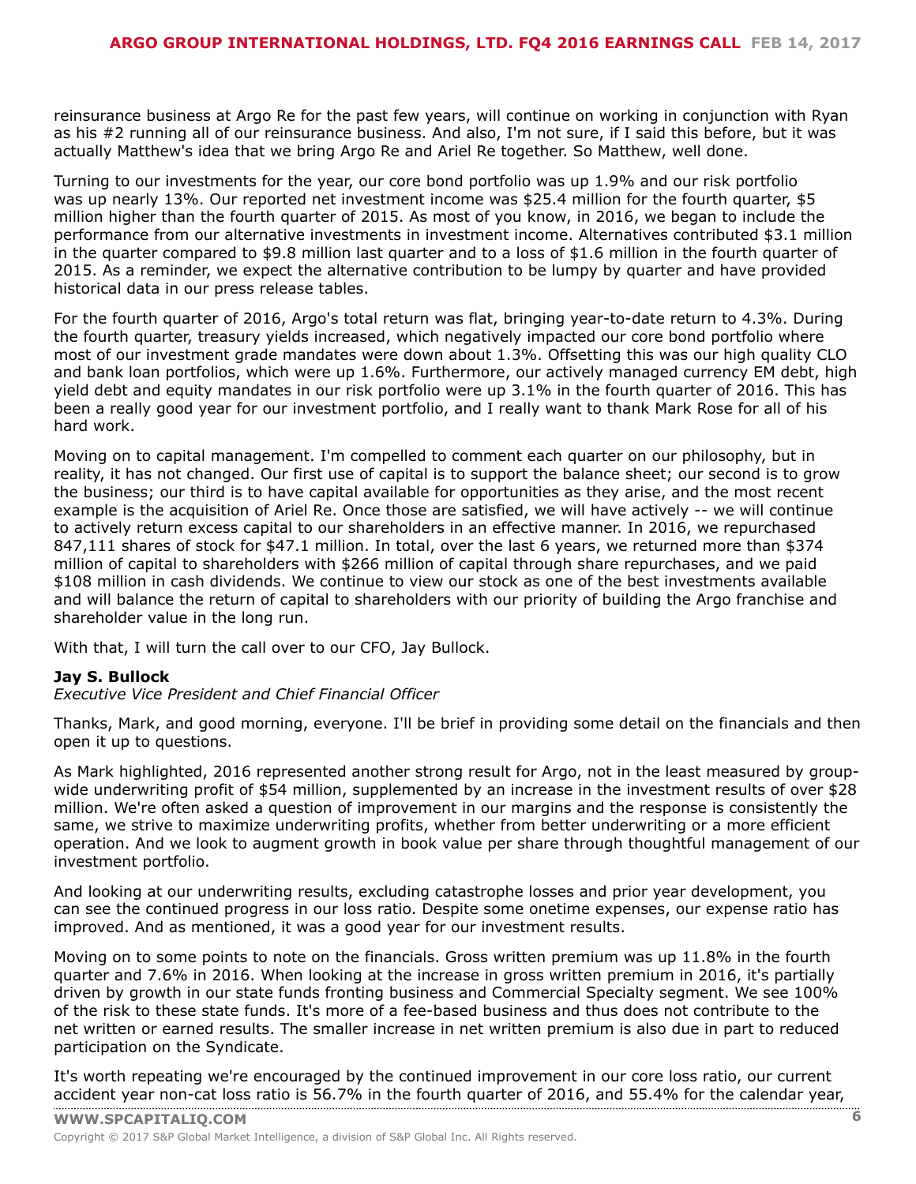reinsurance business at Argo Re for the past few years, will continue on working in conjunction with Ryan as his #2 running all of our reinsurance business. And also, I'm not sure, if I said this before, but it was actually Matthew's idea that we bring Argo Re and Ariel Re together. So Matthew, well done.

Turning to our investments for the year, our core bond portfolio was up 1.9% and our risk portfolio was up nearly 13%. Our reported net investment income was \$25.4 million for the fourth quarter, \$5 million higher than the fourth quarter of 2015. As most of you know, in 2016, we began to include the performance from our alternative investments in investment income. Alternatives contributed \$3.1 million in the quarter compared to \$9.8 million last quarter and to a loss of \$1.6 million in the fourth quarter of 2015. As a reminder, we expect the alternative contribution to be lumpy by quarter and have provided historical data in our press release tables.

For the fourth quarter of 2016, Argo's total return was flat, bringing year-to-date return to 4.3%. During the fourth quarter, treasury yields increased, which negatively impacted our core bond portfolio where most of our investment grade mandates were down about 1.3%. Offsetting this was our high quality CLO and bank loan portfolios, which were up 1.6%. Furthermore, our actively managed currency EM debt, high yield debt and equity mandates in our risk portfolio were up 3.1% in the fourth quarter of 2016. This has been a really good year for our investment portfolio, and I really want to thank Mark Rose for all of his hard work.

Moving on to capital management. I'm compelled to comment each quarter on our philosophy, but in reality, it has not changed. Our first use of capital is to support the balance sheet; our second is to grow the business; our third is to have capital available for opportunities as they arise, and the most recent example is the acquisition of Ariel Re. Once those are satisfied, we will have actively -- we will continue to actively return excess capital to our shareholders in an effective manner. In 2016, we repurchased 847,111 shares of stock for \$47.1 million. In total, over the last 6 years, we returned more than \$374 million of capital to shareholders with \$266 million of capital through share repurchases, and we paid \$108 million in cash dividends. We continue to view our stock as one of the best investments available and will balance the return of capital to shareholders with our priority of building the Argo franchise and shareholder value in the long run.

With that, I will turn the call over to our CFO, Jay Bullock.

# **Jay S. Bullock**

# *Executive Vice President and Chief Financial Officer*

Thanks, Mark, and good morning, everyone. I'll be brief in providing some detail on the financials and then open it up to questions.

As Mark highlighted, 2016 represented another strong result for Argo, not in the least measured by groupwide underwriting profit of \$54 million, supplemented by an increase in the investment results of over \$28 million. We're often asked a question of improvement in our margins and the response is consistently the same, we strive to maximize underwriting profits, whether from better underwriting or a more efficient operation. And we look to augment growth in book value per share through thoughtful management of our investment portfolio.

And looking at our underwriting results, excluding catastrophe losses and prior year development, you can see the continued progress in our loss ratio. Despite some onetime expenses, our expense ratio has improved. And as mentioned, it was a good year for our investment results.

Moving on to some points to note on the financials. Gross written premium was up 11.8% in the fourth quarter and 7.6% in 2016. When looking at the increase in gross written premium in 2016, it's partially driven by growth in our state funds fronting business and Commercial Specialty segment. We see 100% of the risk to these state funds. It's more of a fee-based business and thus does not contribute to the net written or earned results. The smaller increase in net written premium is also due in part to reduced participation on the Syndicate.

It's worth repeating we're encouraged by the continued improvement in our core loss ratio, our current [accident](www.capitaliq.com) year non-cat loss ratio is 56.7% in the fourth quarter of 2016, and 55.4% for the calendar year,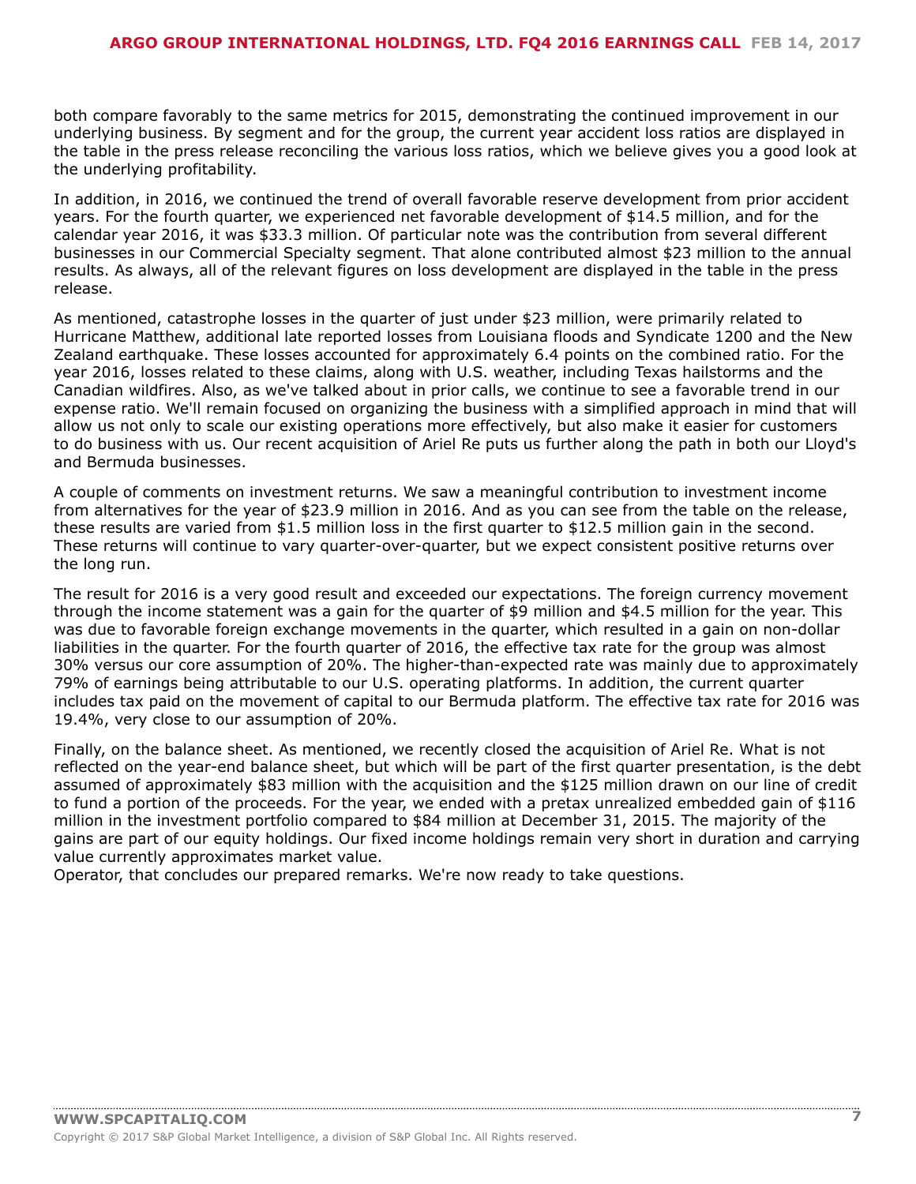both compare favorably to the same metrics for 2015, demonstrating the continued improvement in our underlying business. By segment and for the group, the current year accident loss ratios are displayed in the table in the press release reconciling the various loss ratios, which we believe gives you a good look at the underlying profitability.

In addition, in 2016, we continued the trend of overall favorable reserve development from prior accident years. For the fourth quarter, we experienced net favorable development of \$14.5 million, and for the calendar year 2016, it was \$33.3 million. Of particular note was the contribution from several different businesses in our Commercial Specialty segment. That alone contributed almost \$23 million to the annual results. As always, all of the relevant figures on loss development are displayed in the table in the press release.

As mentioned, catastrophe losses in the quarter of just under \$23 million, were primarily related to Hurricane Matthew, additional late reported losses from Louisiana floods and Syndicate 1200 and the New Zealand earthquake. These losses accounted for approximately 6.4 points on the combined ratio. For the year 2016, losses related to these claims, along with U.S. weather, including Texas hailstorms and the Canadian wildfires. Also, as we've talked about in prior calls, we continue to see a favorable trend in our expense ratio. We'll remain focused on organizing the business with a simplified approach in mind that will allow us not only to scale our existing operations more effectively, but also make it easier for customers to do business with us. Our recent acquisition of Ariel Re puts us further along the path in both our Lloyd's and Bermuda businesses.

A couple of comments on investment returns. We saw a meaningful contribution to investment income from alternatives for the year of \$23.9 million in 2016. And as you can see from the table on the release, these results are varied from \$1.5 million loss in the first quarter to \$12.5 million gain in the second. These returns will continue to vary quarter-over-quarter, but we expect consistent positive returns over the long run.

The result for 2016 is a very good result and exceeded our expectations. The foreign currency movement through the income statement was a gain for the quarter of \$9 million and \$4.5 million for the year. This was due to favorable foreign exchange movements in the quarter, which resulted in a gain on non-dollar liabilities in the quarter. For the fourth quarter of 2016, the effective tax rate for the group was almost 30% versus our core assumption of 20%. The higher-than-expected rate was mainly due to approximately 79% of earnings being attributable to our U.S. operating platforms. In addition, the current quarter includes tax paid on the movement of capital to our Bermuda platform. The effective tax rate for 2016 was 19.4%, very close to our assumption of 20%.

Finally, on the balance sheet. As mentioned, we recently closed the acquisition of Ariel Re. What is not reflected on the year-end balance sheet, but which will be part of the first quarter presentation, is the debt assumed of approximately \$83 million with the acquisition and the \$125 million drawn on our line of credit to fund a portion of the proceeds. For the year, we ended with a pretax unrealized embedded gain of \$116 million in the investment portfolio compared to \$84 million at December 31, 2015. The majority of the gains are part of our equity holdings. Our fixed income holdings remain very short in duration and carrying value currently approximates market value.

Operator, that concludes our prepared remarks. We're now ready to take questions.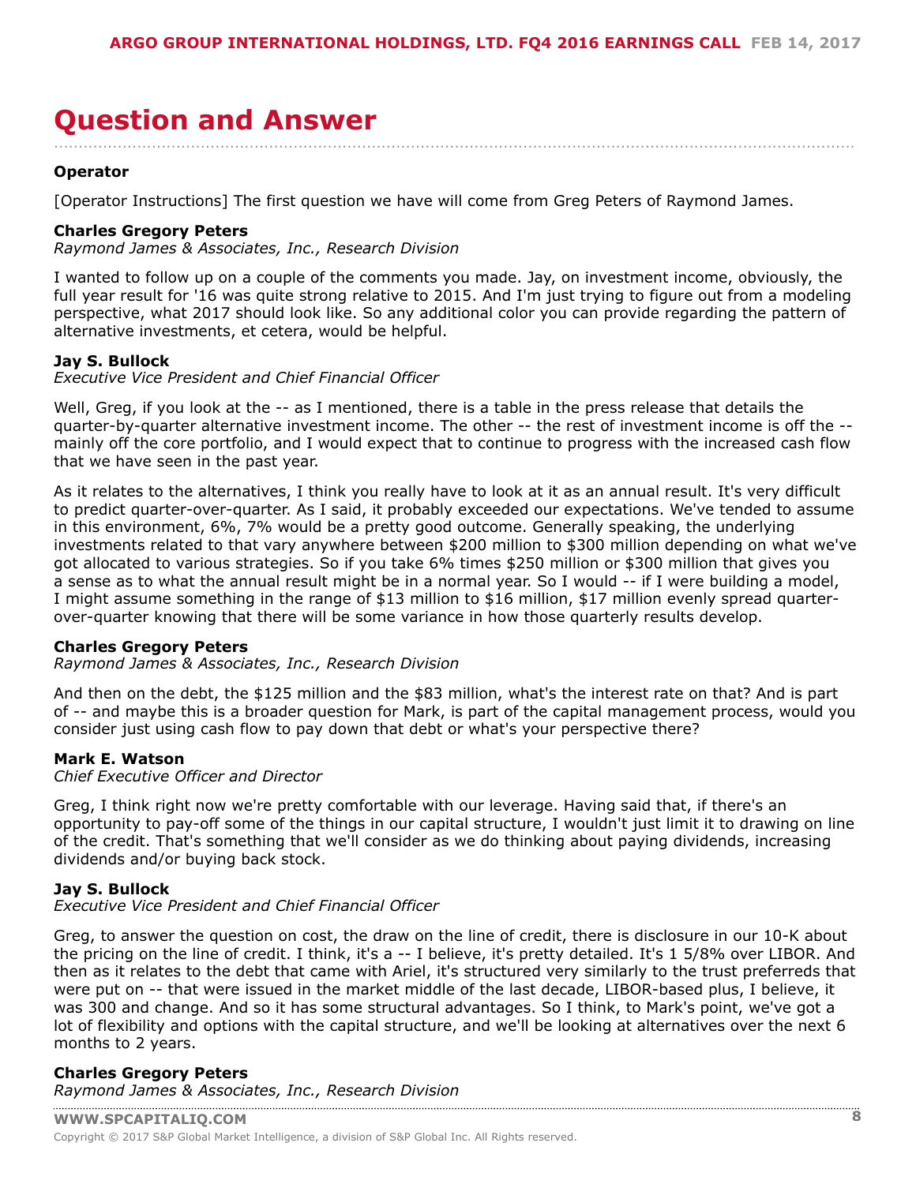# <span id="page-7-0"></span>**Question and Answer**

### **Operator**

[Operator Instructions] The first question we have will come from Greg Peters of Raymond James.

### **Charles Gregory Peters**

*Raymond James & Associates, Inc., Research Division*

I wanted to follow up on a couple of the comments you made. Jay, on investment income, obviously, the full year result for '16 was quite strong relative to 2015. And I'm just trying to figure out from a modeling perspective, what 2017 should look like. So any additional color you can provide regarding the pattern of alternative investments, et cetera, would be helpful.

....................................................................................................................................................................

#### **Jay S. Bullock**

*Executive Vice President and Chief Financial Officer*

Well, Greg, if you look at the -- as I mentioned, there is a table in the press release that details the quarter-by-quarter alternative investment income. The other -- the rest of investment income is off the - mainly off the core portfolio, and I would expect that to continue to progress with the increased cash flow that we have seen in the past year.

As it relates to the alternatives, I think you really have to look at it as an annual result. It's very difficult to predict quarter-over-quarter. As I said, it probably exceeded our expectations. We've tended to assume in this environment, 6%, 7% would be a pretty good outcome. Generally speaking, the underlying investments related to that vary anywhere between \$200 million to \$300 million depending on what we've got allocated to various strategies. So if you take 6% times \$250 million or \$300 million that gives you a sense as to what the annual result might be in a normal year. So I would -- if I were building a model, I might assume something in the range of \$13 million to \$16 million, \$17 million evenly spread quarterover-quarter knowing that there will be some variance in how those quarterly results develop.

#### **Charles Gregory Peters**

*Raymond James & Associates, Inc., Research Division*

And then on the debt, the \$125 million and the \$83 million, what's the interest rate on that? And is part of -- and maybe this is a broader question for Mark, is part of the capital management process, would you consider just using cash flow to pay down that debt or what's your perspective there?

#### **Mark E. Watson**

*Chief Executive Officer and Director*

Greg, I think right now we're pretty comfortable with our leverage. Having said that, if there's an opportunity to pay-off some of the things in our capital structure, I wouldn't just limit it to drawing on line of the credit. That's something that we'll consider as we do thinking about paying dividends, increasing dividends and/or buying back stock.

#### **Jay S. Bullock**

*Executive Vice President and Chief Financial Officer*

Greg, to answer the question on cost, the draw on the line of credit, there is disclosure in our 10-K about the pricing on the line of credit. I think, it's a -- I believe, it's pretty detailed. It's 1 5/8% over LIBOR. And then as it relates to the debt that came with Ariel, it's structured very similarly to the trust preferreds that were put on -- that were issued in the market middle of the last decade, LIBOR-based plus, I believe, it was 300 and change. And so it has some structural advantages. So I think, to Mark's point, we've got a lot of flexibility and options with the capital structure, and we'll be looking at alternatives over the next 6 months to 2 years.

#### **Charles Gregory Peters** *[Raymond James & Associa](www.capitaliq.com)tes, Inc., Research Division*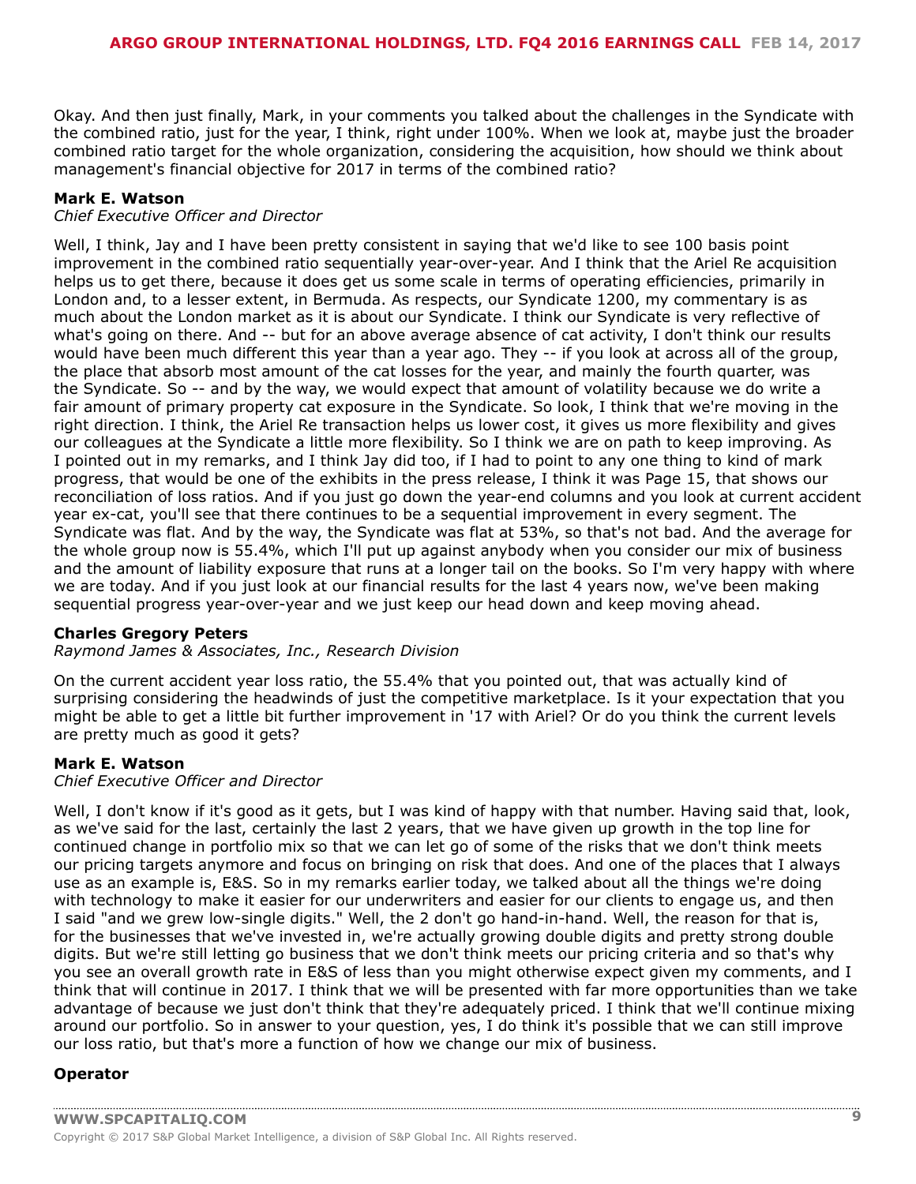Okay. And then just finally, Mark, in your comments you talked about the challenges in the Syndicate with the combined ratio, just for the year, I think, right under 100%. When we look at, maybe just the broader combined ratio target for the whole organization, considering the acquisition, how should we think about management's financial objective for 2017 in terms of the combined ratio?

# **Mark E. Watson**

### *Chief Executive Officer and Director*

Well, I think, Jay and I have been pretty consistent in saying that we'd like to see 100 basis point improvement in the combined ratio sequentially year-over-year. And I think that the Ariel Re acquisition helps us to get there, because it does get us some scale in terms of operating efficiencies, primarily in London and, to a lesser extent, in Bermuda. As respects, our Syndicate 1200, my commentary is as much about the London market as it is about our Syndicate. I think our Syndicate is very reflective of what's going on there. And -- but for an above average absence of cat activity, I don't think our results would have been much different this year than a year ago. They -- if you look at across all of the group, the place that absorb most amount of the cat losses for the year, and mainly the fourth quarter, was the Syndicate. So -- and by the way, we would expect that amount of volatility because we do write a fair amount of primary property cat exposure in the Syndicate. So look, I think that we're moving in the right direction. I think, the Ariel Re transaction helps us lower cost, it gives us more flexibility and gives our colleagues at the Syndicate a little more flexibility. So I think we are on path to keep improving. As I pointed out in my remarks, and I think Jay did too, if I had to point to any one thing to kind of mark progress, that would be one of the exhibits in the press release, I think it was Page 15, that shows our reconciliation of loss ratios. And if you just go down the year-end columns and you look at current accident year ex-cat, you'll see that there continues to be a sequential improvement in every segment. The Syndicate was flat. And by the way, the Syndicate was flat at 53%, so that's not bad. And the average for the whole group now is 55.4%, which I'll put up against anybody when you consider our mix of business and the amount of liability exposure that runs at a longer tail on the books. So I'm very happy with where we are today. And if you just look at our financial results for the last 4 years now, we've been making sequential progress year-over-year and we just keep our head down and keep moving ahead.

# **Charles Gregory Peters**

*Raymond James & Associates, Inc., Research Division*

On the current accident year loss ratio, the 55.4% that you pointed out, that was actually kind of surprising considering the headwinds of just the competitive marketplace. Is it your expectation that you might be able to get a little bit further improvement in '17 with Ariel? Or do you think the current levels are pretty much as good it gets?

# **Mark E. Watson**

#### *Chief Executive Officer and Director*

Well, I don't know if it's good as it gets, but I was kind of happy with that number. Having said that, look, as we've said for the last, certainly the last 2 years, that we have given up growth in the top line for continued change in portfolio mix so that we can let go of some of the risks that we don't think meets our pricing targets anymore and focus on bringing on risk that does. And one of the places that I always use as an example is, E&S. So in my remarks earlier today, we talked about all the things we're doing with technology to make it easier for our underwriters and easier for our clients to engage us, and then I said "and we grew low-single digits." Well, the 2 don't go hand-in-hand. Well, the reason for that is, for the businesses that we've invested in, we're actually growing double digits and pretty strong double digits. But we're still letting go business that we don't think meets our pricing criteria and so that's why you see an overall growth rate in E&S of less than you might otherwise expect given my comments, and I think that will continue in 2017. I think that we will be presented with far more opportunities than we take advantage of because we just don't think that they're adequately priced. I think that we'll continue mixing around our portfolio. So in answer to your question, yes, I do think it's possible that we can still improve our loss ratio, but that's more a function of how we change our mix of business.

# **Operator**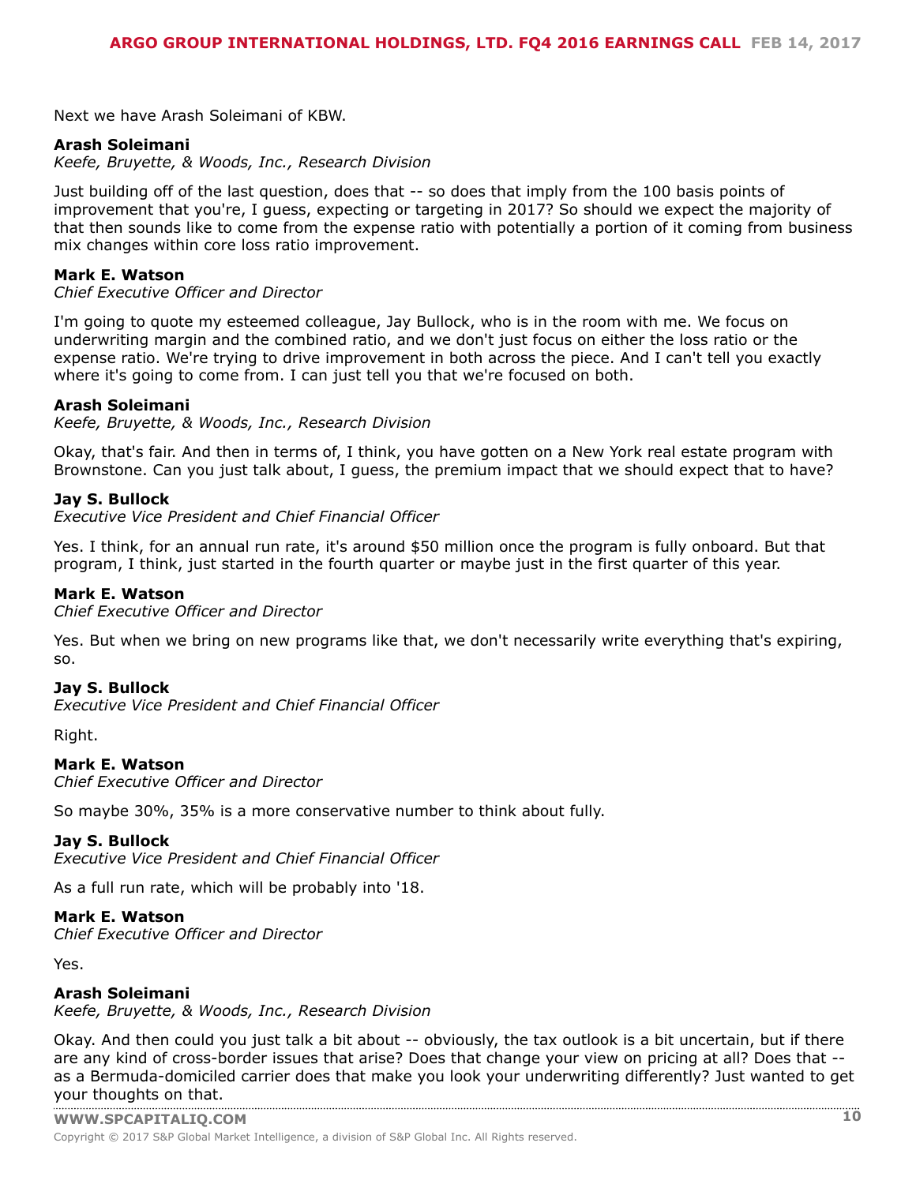Next we have Arash Soleimani of KBW.

#### **Arash Soleimani**

*Keefe, Bruyette, & Woods, Inc., Research Division*

Just building off of the last question, does that -- so does that imply from the 100 basis points of improvement that you're, I guess, expecting or targeting in 2017? So should we expect the majority of that then sounds like to come from the expense ratio with potentially a portion of it coming from business mix changes within core loss ratio improvement.

#### **Mark E. Watson**

*Chief Executive Officer and Director*

I'm going to quote my esteemed colleague, Jay Bullock, who is in the room with me. We focus on underwriting margin and the combined ratio, and we don't just focus on either the loss ratio or the expense ratio. We're trying to drive improvement in both across the piece. And I can't tell you exactly where it's going to come from. I can just tell you that we're focused on both.

#### **Arash Soleimani**

*Keefe, Bruyette, & Woods, Inc., Research Division*

Okay, that's fair. And then in terms of, I think, you have gotten on a New York real estate program with Brownstone. Can you just talk about, I guess, the premium impact that we should expect that to have?

#### **Jay S. Bullock**

*Executive Vice President and Chief Financial Officer*

Yes. I think, for an annual run rate, it's around \$50 million once the program is fully onboard. But that program, I think, just started in the fourth quarter or maybe just in the first quarter of this year.

#### **Mark E. Watson**

*Chief Executive Officer and Director*

Yes. But when we bring on new programs like that, we don't necessarily write everything that's expiring, so.

#### **Jay S. Bullock**

*Executive Vice President and Chief Financial Officer*

Right.

#### **Mark E. Watson**

*Chief Executive Officer and Director*

So maybe 30%, 35% is a more conservative number to think about fully.

#### **Jay S. Bullock**

*Executive Vice President and Chief Financial Officer*

As a full run rate, which will be probably into '18.

#### **Mark E. Watson**

*Chief Executive Officer and Director*

Yes.

#### **Arash Soleimani**

*Keefe, Bruyette, & Woods, Inc., Research Division*

Okay. And then could you just talk a bit about -- obviously, the tax outlook is a bit uncertain, but if there are any kind of cross-border issues that arise? Does that change your view on pricing at all? Does that - as a Bermuda-domiciled carrier does that make you look your underwriting differently? Just wanted to get your [thoughts](www.capitaliq.com) on that.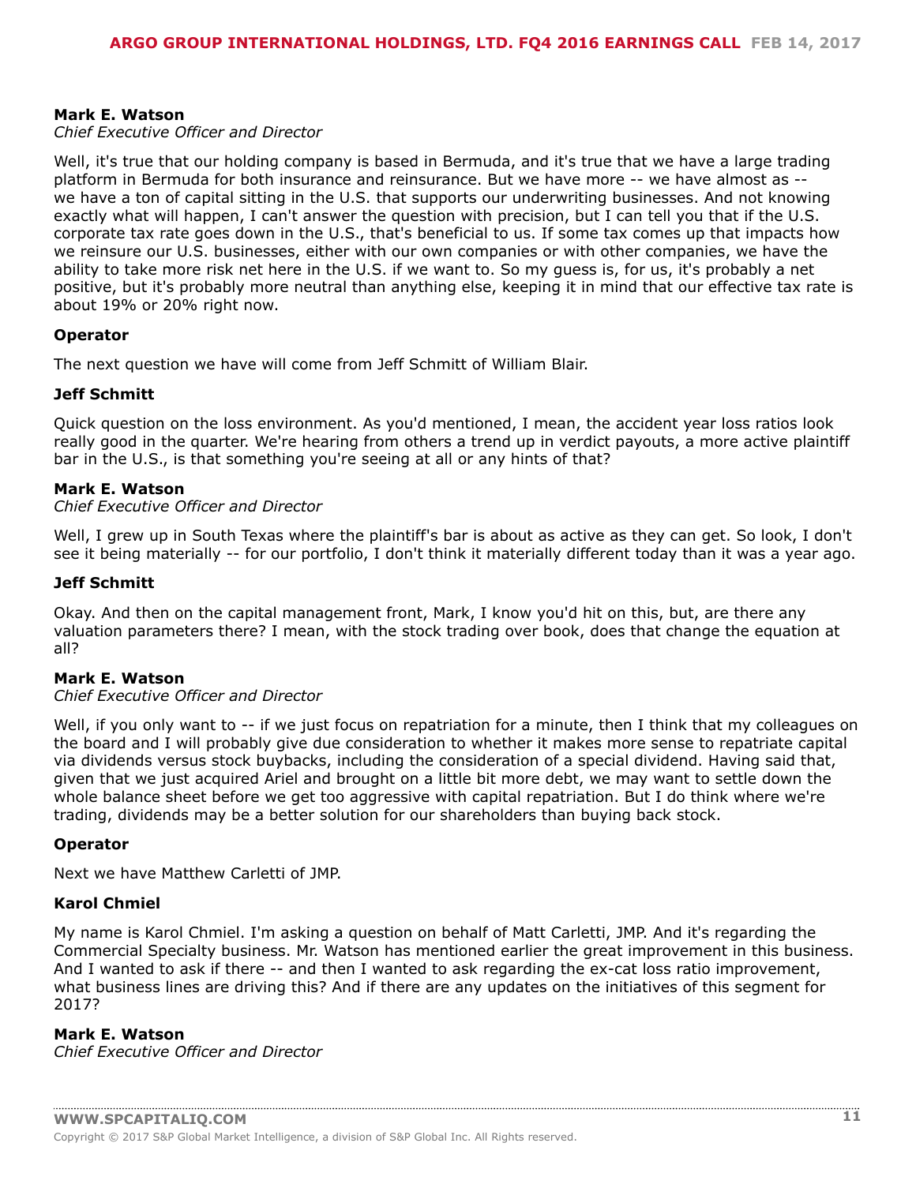# **Mark E. Watson**

# *Chief Executive Officer and Director*

Well, it's true that our holding company is based in Bermuda, and it's true that we have a large trading platform in Bermuda for both insurance and reinsurance. But we have more -- we have almost as - we have a ton of capital sitting in the U.S. that supports our underwriting businesses. And not knowing exactly what will happen, I can't answer the question with precision, but I can tell you that if the U.S. corporate tax rate goes down in the U.S., that's beneficial to us. If some tax comes up that impacts how we reinsure our U.S. businesses, either with our own companies or with other companies, we have the ability to take more risk net here in the U.S. if we want to. So my guess is, for us, it's probably a net positive, but it's probably more neutral than anything else, keeping it in mind that our effective tax rate is about 19% or 20% right now.

# **Operator**

The next question we have will come from Jeff Schmitt of William Blair.

#### **Jeff Schmitt**

Quick question on the loss environment. As you'd mentioned, I mean, the accident year loss ratios look really good in the quarter. We're hearing from others a trend up in verdict payouts, a more active plaintiff bar in the U.S., is that something you're seeing at all or any hints of that?

#### **Mark E. Watson**

#### *Chief Executive Officer and Director*

Well, I grew up in South Texas where the plaintiff's bar is about as active as they can get. So look, I don't see it being materially -- for our portfolio, I don't think it materially different today than it was a year ago.

#### **Jeff Schmitt**

Okay. And then on the capital management front, Mark, I know you'd hit on this, but, are there any valuation parameters there? I mean, with the stock trading over book, does that change the equation at all?

#### **Mark E. Watson**

#### *Chief Executive Officer and Director*

Well, if you only want to -- if we just focus on repatriation for a minute, then I think that my colleagues on the board and I will probably give due consideration to whether it makes more sense to repatriate capital via dividends versus stock buybacks, including the consideration of a special dividend. Having said that, given that we just acquired Ariel and brought on a little bit more debt, we may want to settle down the whole balance sheet before we get too aggressive with capital repatriation. But I do think where we're trading, dividends may be a better solution for our shareholders than buying back stock.

#### **Operator**

Next we have Matthew Carletti of JMP.

#### **Karol Chmiel**

My name is Karol Chmiel. I'm asking a question on behalf of Matt Carletti, JMP. And it's regarding the Commercial Specialty business. Mr. Watson has mentioned earlier the great improvement in this business. And I wanted to ask if there -- and then I wanted to ask regarding the ex-cat loss ratio improvement, what business lines are driving this? And if there are any updates on the initiatives of this segment for 2017?

# **Mark E. Watson**

*Chief Executive Officer and Director*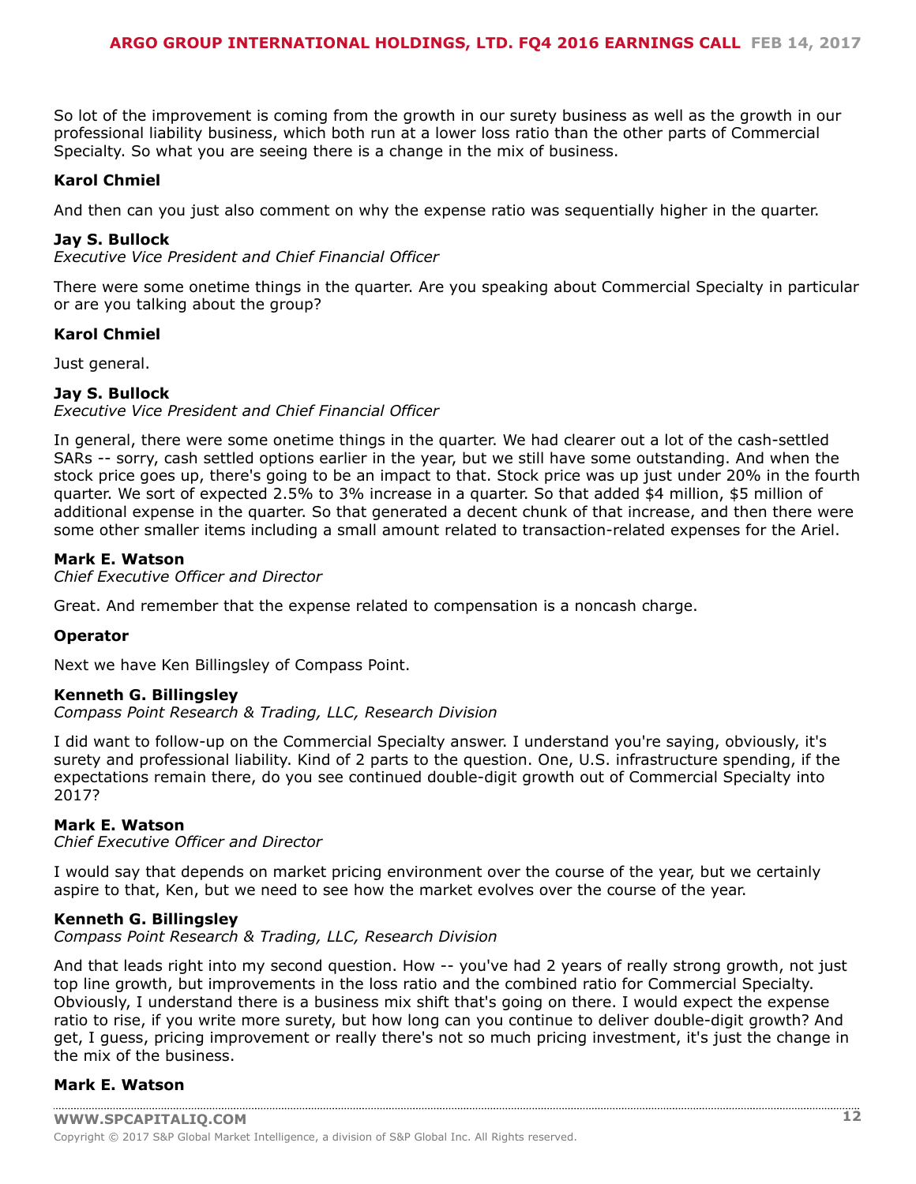So lot of the improvement is coming from the growth in our surety business as well as the growth in our professional liability business, which both run at a lower loss ratio than the other parts of Commercial Specialty. So what you are seeing there is a change in the mix of business.

# **Karol Chmiel**

And then can you just also comment on why the expense ratio was sequentially higher in the quarter.

### **Jay S. Bullock**

*Executive Vice President and Chief Financial Officer*

There were some onetime things in the quarter. Are you speaking about Commercial Specialty in particular or are you talking about the group?

#### **Karol Chmiel**

Just general.

# **Jay S. Bullock**

*Executive Vice President and Chief Financial Officer*

In general, there were some onetime things in the quarter. We had clearer out a lot of the cash-settled SARs -- sorry, cash settled options earlier in the year, but we still have some outstanding. And when the stock price goes up, there's going to be an impact to that. Stock price was up just under 20% in the fourth quarter. We sort of expected 2.5% to 3% increase in a quarter. So that added \$4 million, \$5 million of additional expense in the quarter. So that generated a decent chunk of that increase, and then there were some other smaller items including a small amount related to transaction-related expenses for the Ariel.

# **Mark E. Watson**

*Chief Executive Officer and Director*

Great. And remember that the expense related to compensation is a noncash charge.

# **Operator**

Next we have Ken Billingsley of Compass Point.

# **Kenneth G. Billingsley**

*Compass Point Research & Trading, LLC, Research Division*

I did want to follow-up on the Commercial Specialty answer. I understand you're saying, obviously, it's surety and professional liability. Kind of 2 parts to the question. One, U.S. infrastructure spending, if the expectations remain there, do you see continued double-digit growth out of Commercial Specialty into 2017?

# **Mark E. Watson**

*Chief Executive Officer and Director*

I would say that depends on market pricing environment over the course of the year, but we certainly aspire to that, Ken, but we need to see how the market evolves over the course of the year.

#### **Kenneth G. Billingsley**

*Compass Point Research & Trading, LLC, Research Division*

And that leads right into my second question. How -- you've had 2 years of really strong growth, not just top line growth, but improvements in the loss ratio and the combined ratio for Commercial Specialty. Obviously, I understand there is a business mix shift that's going on there. I would expect the expense ratio to rise, if you write more surety, but how long can you continue to deliver double-digit growth? And get, I guess, pricing improvement or really there's not so much pricing investment, it's just the change in the mix of the business.

# **Mark E. Watson**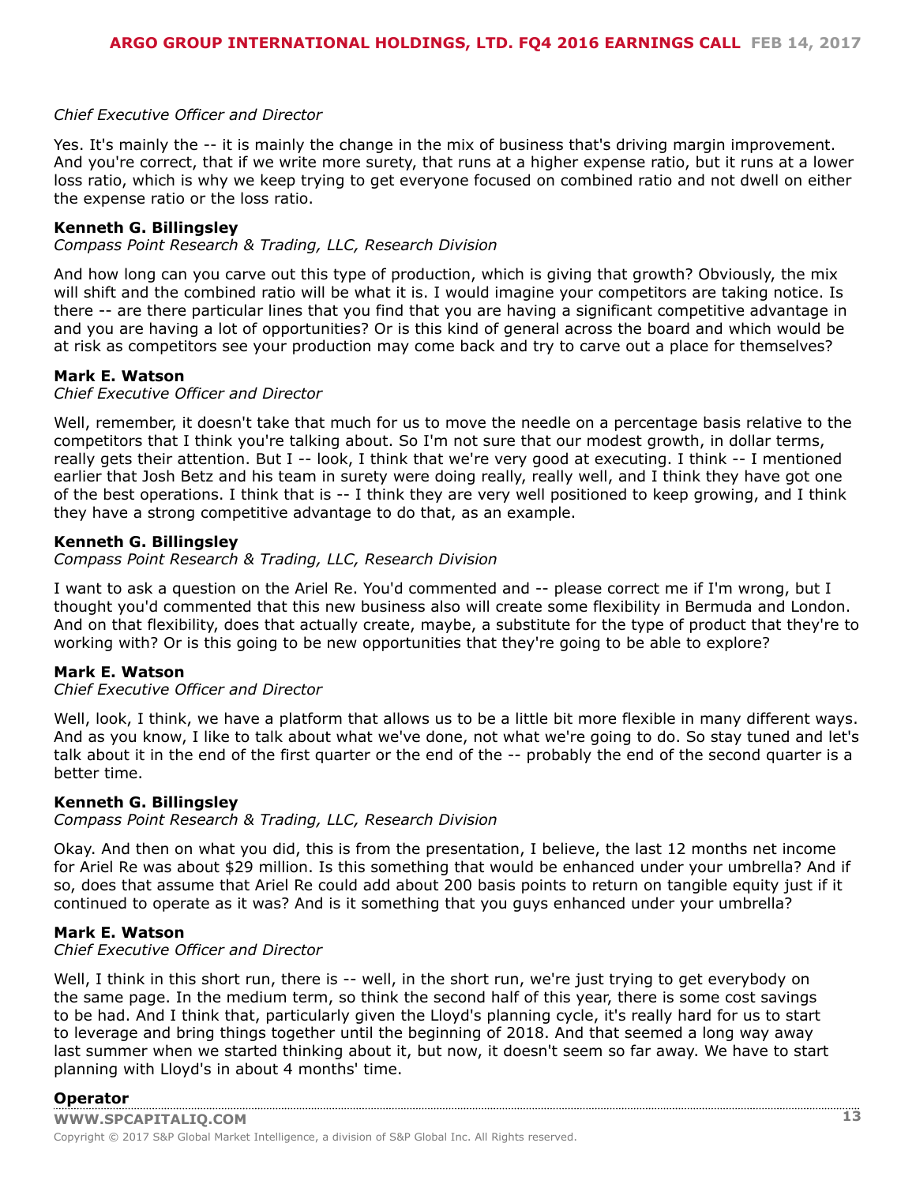# *Chief Executive Officer and Director*

Yes. It's mainly the -- it is mainly the change in the mix of business that's driving margin improvement. And you're correct, that if we write more surety, that runs at a higher expense ratio, but it runs at a lower loss ratio, which is why we keep trying to get everyone focused on combined ratio and not dwell on either the expense ratio or the loss ratio.

# **Kenneth G. Billingsley**

*Compass Point Research & Trading, LLC, Research Division*

And how long can you carve out this type of production, which is giving that growth? Obviously, the mix will shift and the combined ratio will be what it is. I would imagine your competitors are taking notice. Is there -- are there particular lines that you find that you are having a significant competitive advantage in and you are having a lot of opportunities? Or is this kind of general across the board and which would be at risk as competitors see your production may come back and try to carve out a place for themselves?

#### **Mark E. Watson**

#### *Chief Executive Officer and Director*

Well, remember, it doesn't take that much for us to move the needle on a percentage basis relative to the competitors that I think you're talking about. So I'm not sure that our modest growth, in dollar terms, really gets their attention. But I -- look, I think that we're very good at executing. I think -- I mentioned earlier that Josh Betz and his team in surety were doing really, really well, and I think they have got one of the best operations. I think that is -- I think they are very well positioned to keep growing, and I think they have a strong competitive advantage to do that, as an example.

#### **Kenneth G. Billingsley**

*Compass Point Research & Trading, LLC, Research Division*

I want to ask a question on the Ariel Re. You'd commented and -- please correct me if I'm wrong, but I thought you'd commented that this new business also will create some flexibility in Bermuda and London. And on that flexibility, does that actually create, maybe, a substitute for the type of product that they're to working with? Or is this going to be new opportunities that they're going to be able to explore?

#### **Mark E. Watson**

# *Chief Executive Officer and Director*

Well, look, I think, we have a platform that allows us to be a little bit more flexible in many different ways. And as you know, I like to talk about what we've done, not what we're going to do. So stay tuned and let's talk about it in the end of the first quarter or the end of the -- probably the end of the second quarter is a better time.

# **Kenneth G. Billingsley**

*Compass Point Research & Trading, LLC, Research Division*

Okay. And then on what you did, this is from the presentation, I believe, the last 12 months net income for Ariel Re was about \$29 million. Is this something that would be enhanced under your umbrella? And if so, does that assume that Ariel Re could add about 200 basis points to return on tangible equity just if it continued to operate as it was? And is it something that you guys enhanced under your umbrella?

#### **Mark E. Watson**

#### *Chief Executive Officer and Director*

Well, I think in this short run, there is -- well, in the short run, we're just trying to get everybody on the same page. In the medium term, so think the second half of this year, there is some cost savings to be had. And I think that, particularly given the Lloyd's planning cycle, it's really hard for us to start to leverage and bring things together until the beginning of 2018. And that seemed a long way away last summer when we started thinking about it, but now, it doesn't seem so far away. We have to start planning with Lloyd's in about 4 months' time.

# **[Operator](www.capitaliq.com)**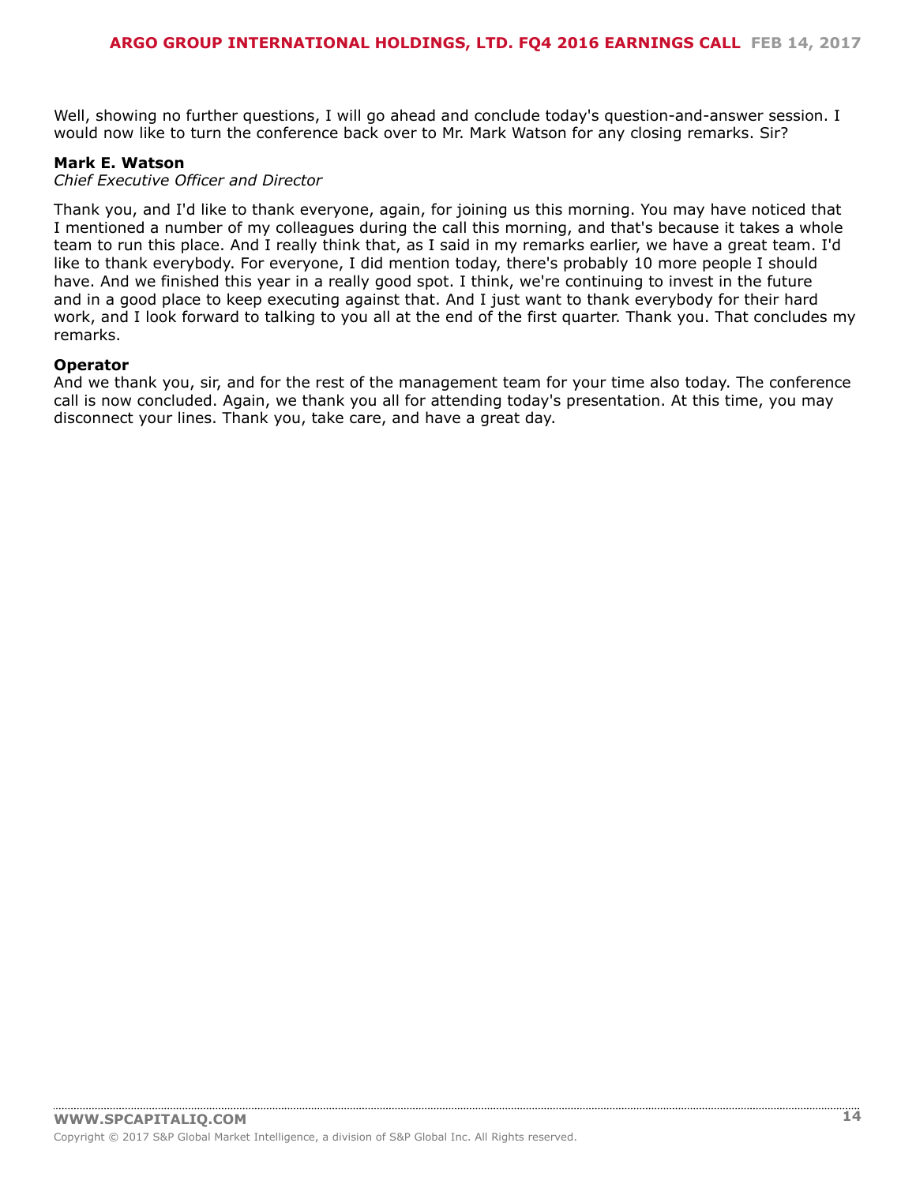Well, showing no further questions, I will go ahead and conclude today's question-and-answer session. I would now like to turn the conference back over to Mr. Mark Watson for any closing remarks. Sir?

#### **Mark E. Watson**

#### *Chief Executive Officer and Director*

Thank you, and I'd like to thank everyone, again, for joining us this morning. You may have noticed that I mentioned a number of my colleagues during the call this morning, and that's because it takes a whole team to run this place. And I really think that, as I said in my remarks earlier, we have a great team. I'd like to thank everybody. For everyone, I did mention today, there's probably 10 more people I should have. And we finished this year in a really good spot. I think, we're continuing to invest in the future and in a good place to keep executing against that. And I just want to thank everybody for their hard work, and I look forward to talking to you all at the end of the first quarter. Thank you. That concludes my remarks.

# **Operator**

And we thank you, sir, and for the rest of the management team for your time also today. The conference call is now concluded. Again, we thank you all for attending today's presentation. At this time, you may disconnect your lines. Thank you, take care, and have a great day.